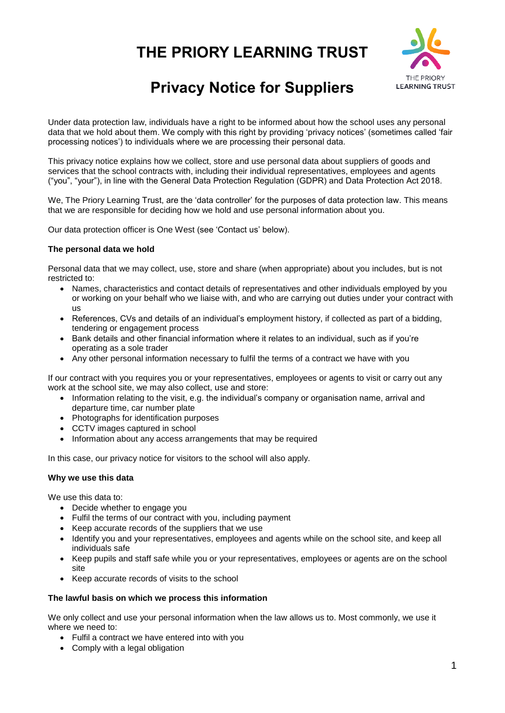# **THE PRIORY LEARNING TRUST**



# **Privacy Notice for Suppliers**

Under data protection law, individuals have a right to be informed about how the school uses any personal data that we hold about them. We comply with this right by providing 'privacy notices' (sometimes called 'fair processing notices') to individuals where we are processing their personal data.

This privacy notice explains how we collect, store and use personal data about suppliers of goods and services that the school contracts with, including their individual representatives, employees and agents ("you", "your"), in line with the General Data Protection Regulation (GDPR) and Data Protection Act 2018.

We, The Priory Learning Trust, are the 'data controller' for the purposes of data protection law. This means that we are responsible for deciding how we hold and use personal information about you.

Our data protection officer is One West (see 'Contact us' below).

#### **The personal data we hold**

Personal data that we may collect, use, store and share (when appropriate) about you includes, but is not restricted to:

- Names, characteristics and contact details of representatives and other individuals employed by you or working on your behalf who we liaise with, and who are carrying out duties under your contract with us
- References, CVs and details of an individual's employment history, if collected as part of a bidding, tendering or engagement process
- Bank details and other financial information where it relates to an individual, such as if you're operating as a sole trader
- Any other personal information necessary to fulfil the terms of a contract we have with you

If our contract with you requires you or your representatives, employees or agents to visit or carry out any work at the school site, we may also collect, use and store:

- Information relating to the visit, e.g. the individual's company or organisation name, arrival and departure time, car number plate
- Photographs for identification purposes
- CCTV images captured in school
- Information about any access arrangements that may be required

In this case, our privacy notice for visitors to the school will also apply.

#### **Why we use this data**

We use this data to:

- Decide whether to engage you
- Fulfil the terms of our contract with you, including payment
- Keep accurate records of the suppliers that we use
- Identify you and your representatives, employees and agents while on the school site, and keep all individuals safe
- Keep pupils and staff safe while you or your representatives, employees or agents are on the school site
- Keep accurate records of visits to the school

#### **The lawful basis on which we process this information**

We only collect and use your personal information when the law allows us to. Most commonly, we use it where we need to:

- Fulfil a contract we have entered into with you
- Comply with a legal obligation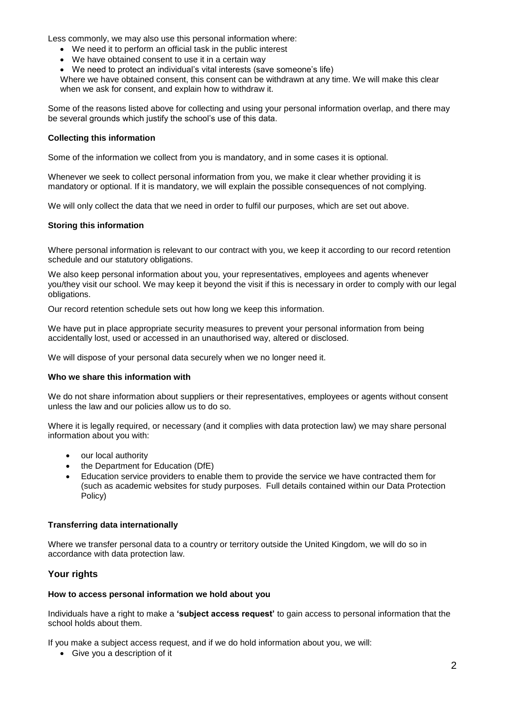Less commonly, we may also use this personal information where:

- We need it to perform an official task in the public interest
- We have obtained consent to use it in a certain way
- We need to protect an individual's vital interests (save someone's life)

Where we have obtained consent, this consent can be withdrawn at any time. We will make this clear when we ask for consent, and explain how to withdraw it.

Some of the reasons listed above for collecting and using your personal information overlap, and there may be several grounds which justify the school's use of this data.

## **Collecting this information**

Some of the information we collect from you is mandatory, and in some cases it is optional.

Whenever we seek to collect personal information from you, we make it clear whether providing it is mandatory or optional. If it is mandatory, we will explain the possible consequences of not complying.

We will only collect the data that we need in order to fulfil our purposes, which are set out above.

## **Storing this information**

Where personal information is relevant to our contract with you, we keep it according to our record retention schedule and our statutory obligations.

We also keep personal information about you, your representatives, employees and agents whenever you/they visit our school. We may keep it beyond the visit if this is necessary in order to comply with our legal obligations.

Our record retention schedule sets out how long we keep this information.

We have put in place appropriate security measures to prevent your personal information from being accidentally lost, used or accessed in an unauthorised way, altered or disclosed.

We will dispose of your personal data securely when we no longer need it.

## **Who we share this information with**

We do not share information about suppliers or their representatives, employees or agents without consent unless the law and our policies allow us to do so.

Where it is legally required, or necessary (and it complies with data protection law) we may share personal information about you with:

- our local authority
- the Department for Education (DfE)
- Education service providers to enable them to provide the service we have contracted them for (such as academic websites for study purposes. Full details contained within our Data Protection Policy)

## **Transferring data internationally**

Where we transfer personal data to a country or territory outside the United Kingdom, we will do so in accordance with data protection law.

# **Your rights**

#### **How to access personal information we hold about you**

Individuals have a right to make a **'subject access request'** to gain access to personal information that the school holds about them.

If you make a subject access request, and if we do hold information about you, we will:

• Give you a description of it